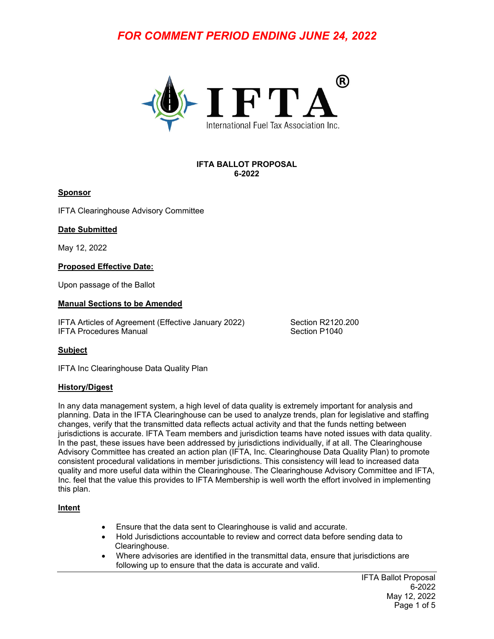# *FOR COMMENT PERIOD ENDING JUNE 24, 2022*



#### **IFTA BALLOT PROPOSAL 6-2022**

#### **Sponsor**

IFTA Clearinghouse Advisory Committee

#### **Date Submitted**

May 12, 2022

#### **Proposed Effective Date:**

Upon passage of the Ballot

#### **Manual Sections to be Amended**

IFTA Articles of Agreement (Effective January 2022) Section R2120.200 IFTA Procedures Manual Section P1040

### **Subject**

IFTA Inc Clearinghouse Data Quality Plan

#### **History/Digest**

In any data management system, a high level of data quality is extremely important for analysis and planning. Data in the IFTA Clearinghouse can be used to analyze trends, plan for legislative and staffing changes, verify that the transmitted data reflects actual activity and that the funds netting between jurisdictions is accurate. IFTA Team members and jurisdiction teams have noted issues with data quality. In the past, these issues have been addressed by jurisdictions individually, if at all. The Clearinghouse Advisory Committee has created an action plan (IFTA, Inc. Clearinghouse Data Quality Plan) to promote consistent procedural validations in member jurisdictions. This consistency will lead to increased data quality and more useful data within the Clearinghouse. The Clearinghouse Advisory Committee and IFTA, Inc. feel that the value this provides to IFTA Membership is well worth the effort involved in implementing this plan.

### **Intent**

- Ensure that the data sent to Clearinghouse is valid and accurate.
- Hold Jurisdictions accountable to review and correct data before sending data to Clearinghouse.
- Where advisories are identified in the transmittal data, ensure that jurisdictions are following up to ensure that the data is accurate and valid.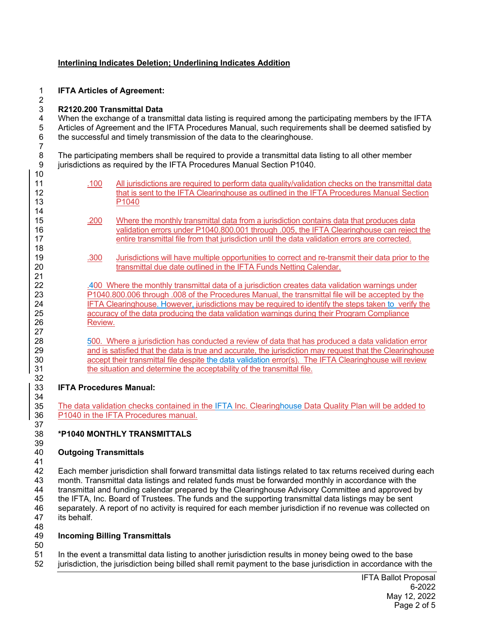#### **Interlining Indicates Deletion; Underlining Indicates Addition**

1 **IFTA Articles of Agreement:** 

#### 2 3 **R2120.200 Transmittal Data**

10

14

18

21<br>22

26 27

32<br>33

34

37

4 When the exchange of a transmittal data listing is required among the participating members by the IFTA<br>5 Articles of Agreement and the IFTA Procedures Manual, such requirements shall be deemed satisfied by 5 Articles of Agreement and the IFTA Procedures Manual, such requirements shall be deemed satisfied by 6 the successful and timely transmission of the data to the clearinghouse. 7

8 The participating members shall be required to provide a transmittal data listing to all other member<br>9 iurisdictions as required by the IFTA Procedures Manual Section P1040. jurisdictions as required by the IFTA Procedures Manual Section P1040.

| 11<br>12 | .100 | All jurisdictions are required to perform data quality/validation checks on the transmittal data<br>that is sent to the IFTA Clearinghouse as outlined in the IFTA Procedures Manual Section                       |  |  |
|----------|------|--------------------------------------------------------------------------------------------------------------------------------------------------------------------------------------------------------------------|--|--|
| 13<br>14 |      | P1040                                                                                                                                                                                                              |  |  |
| 15<br>16 | .200 | Where the monthly transmittal data from a jurisdiction contains data that produces data<br>validation errors under P1040.800.001 through .005, the IFTA Clearinghouse can reject the                               |  |  |
| 17<br>18 |      | entire transmittal file from that jurisdiction until the data validation errors are corrected.                                                                                                                     |  |  |
| 19<br>20 | .300 | Jurisdictions will have multiple opportunities to correct and re-transmit their data prior to the<br>transmittal due date outlined in the IFTA Funds Netting Calendar.                                             |  |  |
| 21<br>22 |      | .400 Where the monthly transmittal data of a jurisdiction creates data validation warnings under                                                                                                                   |  |  |
| 23<br>24 |      | P1040.800.006 through .008 of the Procedures Manual, the transmittal file will be accepted by the<br>IFTA Clearinghouse. However, jurisdictions may be required to identify the steps taken to verify the          |  |  |
| 25<br>26 |      | accuracy of the data producing the data validation warnings during their Program Compliance<br>Review.                                                                                                             |  |  |
| 27<br>28 |      | 500. Where a jurisdiction has conducted a review of data that has produced a data validation error                                                                                                                 |  |  |
| 29<br>30 |      | and is satisfied that the data is true and accurate, the jurisdiction may request that the Clearinghouse<br>accept their transmittal file despite the data validation error(s). The IFTA Clearinghouse will review |  |  |
| 31<br>32 |      | the situation and determine the acceptability of the transmittal file.                                                                                                                                             |  |  |
| 33       |      | <b>IFTA Procedures Manual:</b>                                                                                                                                                                                     |  |  |

35 The data validation checks contained in the IFTA Inc. Clearinghouse Data Quality Plan will be added to 36 P1040 in the IFTA Procedures manual.

## 38 **\*P1040 MONTHLY TRANSMITTALS**

#### 39<br>40 40 **Outgoing Transmittals**

41 42 Each member jurisdiction shall forward transmittal data listings related to tax returns received during each 43 month. Transmittal data listings and related funds must be forwarded monthly in accordance with the 44 transmittal and funding calendar prepared by the Clearinghouse Advisory Committee and approved by 45 the IFTA, Inc. Board of Trustees. The funds and the supporting transmittal data listings may be sent 46 separately. A report of no activity is required for each member jurisdiction if no revenue was collected on 47 its behalf. 48

## 49 **Incoming Billing Transmittals**

50 51 In the event a transmittal data listing to another jurisdiction results in money being owed to the base<br>52 iurisdiction, the iurisdiction being billed shall remit payment to the base iurisdiction in accordance wit jurisdiction, the jurisdiction being billed shall remit payment to the base jurisdiction in accordance with the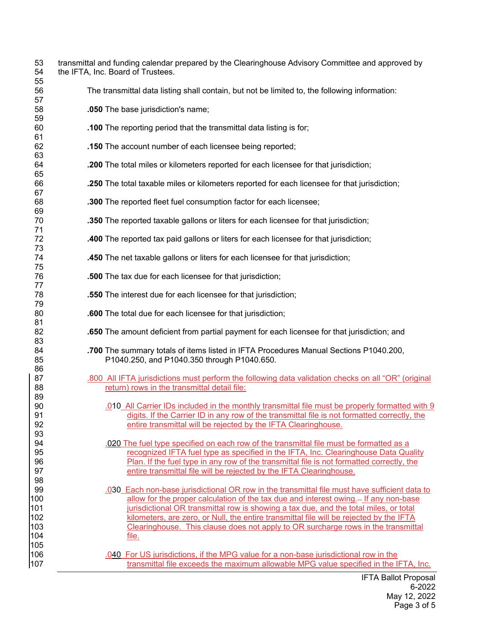| 53<br>54<br>55 | transmittal and funding calendar prepared by the Clearinghouse Advisory Committee and approved by<br>the IFTA, Inc. Board of Trustees.                                                           |
|----------------|--------------------------------------------------------------------------------------------------------------------------------------------------------------------------------------------------|
| 56<br>57       | The transmittal data listing shall contain, but not be limited to, the following information:                                                                                                    |
| 58<br>59       | .050 The base jurisdiction's name;                                                                                                                                                               |
| 60<br>61       | .100 The reporting period that the transmittal data listing is for;                                                                                                                              |
| 62<br>63       | .150 The account number of each licensee being reported;                                                                                                                                         |
| 64<br>65       | .200 The total miles or kilometers reported for each licensee for that jurisdiction;                                                                                                             |
| 66<br>67       | .250 The total taxable miles or kilometers reported for each licensee for that jurisdiction;                                                                                                     |
| 68<br>69       | .300 The reported fleet fuel consumption factor for each licensee;                                                                                                                               |
| 70<br>71       | .350 The reported taxable gallons or liters for each licensee for that jurisdiction;                                                                                                             |
| 72<br>73       | <b>.400</b> The reported tax paid gallons or liters for each licensee for that jurisdiction;                                                                                                     |
| 74<br>75       | .450 The net taxable gallons or liters for each licensee for that jurisdiction;                                                                                                                  |
| 76<br>77       | .500 The tax due for each licensee for that jurisdiction;                                                                                                                                        |
| 78<br>79       | .550 The interest due for each licensee for that jurisdiction;                                                                                                                                   |
| 80<br>81       | .600 The total due for each licensee for that jurisdiction;                                                                                                                                      |
| 82<br>83       | .650 The amount deficient from partial payment for each licensee for that jurisdiction; and                                                                                                      |
| 84<br>85       | .700 The summary totals of items listed in IFTA Procedures Manual Sections P1040.200,<br>P1040.250, and P1040.350 through P1040.650.                                                             |
| 86<br>87       | .800 All IFTA jurisdictions must perform the following data validation checks on all "OR" (original                                                                                              |
| 88<br>89       | return) rows in the transmittal detail file:                                                                                                                                                     |
| 90<br>91       | 0.010 All Carrier IDs included in the monthly transmittal file must be properly formatted with 9<br>digits. If the Carrier ID in any row of the transmittal file is not formatted correctly, the |
| 92<br>93       | entire transmittal will be rejected by the IFTA Clearinghouse.                                                                                                                                   |
| 94             | .020 The fuel type specified on each row of the transmittal file must be formatted as a                                                                                                          |
| 95<br>96       | recognized IFTA fuel type as specified in the IFTA, Inc. Clearinghouse Data Quality<br>Plan. If the fuel type in any row of the transmittal file is not formatted correctly, the                 |
| 97             | entire transmittal file will be rejected by the IFTA Clearinghouse.                                                                                                                              |
| 98             |                                                                                                                                                                                                  |
| 99             | .030 Each non-base jurisdictional OR row in the transmittal file must have sufficient data to                                                                                                    |
| 100<br>101     | allow for the proper calculation of the tax due and interest owing.- If any non-base<br>jurisdictional OR transmittal row is showing a tax due, and the total miles, or total                    |
| 102            | kilometers, are zero, or Null, the entire transmittal file will be rejected by the IFTA                                                                                                          |
| 103            | Clearinghouse. This clause does not apply to OR surcharge rows in the transmittal                                                                                                                |
| 104            | file.                                                                                                                                                                                            |
| 105            |                                                                                                                                                                                                  |
| 106<br>107     | .040 For US jurisdictions, if the MPG value for a non-base jurisdictional row in the<br>transmittal file exceeds the maximum allowable MPG value specified in the IFTA, Inc.                     |
|                |                                                                                                                                                                                                  |

IFTA Ballot Proposal 6-2022 May 12, 2022 Page 3 of 5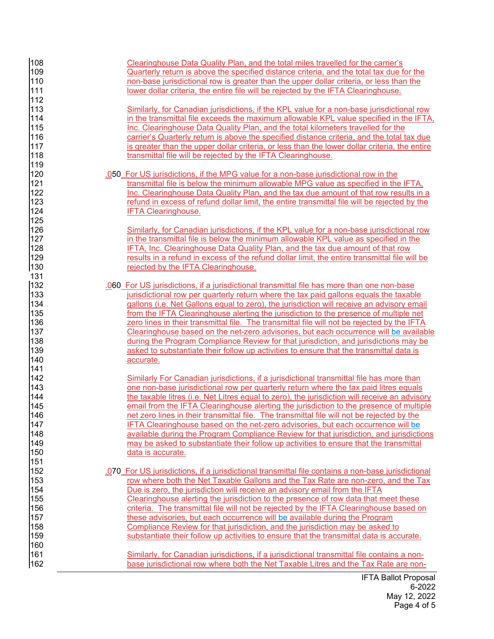| 108<br>109<br>110<br>111<br>112                             | Clearinghouse Data Quality Plan, and the total miles travelled for the carrier's<br>Quarterly return is above the specified distance criteria, and the total tax due for the<br>non-base jurisdictional row is greater than the upper dollar criteria, or less than the<br>lower dollar criteria, the entire file will be rejected by the IFTA Clearinghouse.                                                                                                                                                                                                                                                                                                                                                                                        |
|-------------------------------------------------------------|------------------------------------------------------------------------------------------------------------------------------------------------------------------------------------------------------------------------------------------------------------------------------------------------------------------------------------------------------------------------------------------------------------------------------------------------------------------------------------------------------------------------------------------------------------------------------------------------------------------------------------------------------------------------------------------------------------------------------------------------------|
| 113<br>114<br>115<br>116<br>117<br>118                      | Similarly, for Canadian jurisdictions, if the KPL value for a non-base jurisdictional row<br>in the transmittal file exceeds the maximum allowable KPL value specified in the IFTA,<br>Inc. Clearinghouse Data Quality Plan, and the total kilometers travelled for the<br>carrier's Quarterly return is above the specified distance criteria, and the total tax due<br>is greater than the upper dollar criteria, or less than the lower dollar criteria, the entire<br>transmittal file will be rejected by the IFTA Clearinghouse.                                                                                                                                                                                                               |
| 119<br>120<br>121<br>122<br>123<br>124                      | .050 For US jurisdictions, if the MPG value for a non-base jurisdictional row in the<br>transmittal file is below the minimum allowable MPG value as specified in the IFTA,<br>Inc. Clearinghouse Data Quality Plan, and the tax due amount of that row results in a<br>refund in excess of refund dollar limit, the entire transmittal file will be rejected by the<br><b>IFTA Clearinghouse.</b>                                                                                                                                                                                                                                                                                                                                                   |
| 125<br>126<br>127<br>128<br>129<br>130                      | Similarly, for Canadian jurisdictions, if the KPL value for a non-base jurisdictional row<br>in the transmittal file is below the minimum allowable KPL value as specified in the<br>IFTA, Inc. Clearinghouse Data Quality Plan, and the tax due amount of that row<br>results in a refund in excess of the refund dollar limit, the entire transmittal file will be<br>rejected by the IFTA Clearinghouse.                                                                                                                                                                                                                                                                                                                                          |
| 131<br>132<br>133<br>134<br>135<br>136<br>137<br>138<br>139 | .060 For US jurisdictions, if a jurisdictional transmittal file has more than one non-base<br>jurisdictional row per quarterly return where the tax paid gallons equals the taxable<br>gallons (i.e. Net Gallons equal to zero), the jurisdiction will receive an advisory email<br>from the IFTA Clearinghouse alerting the jurisdiction to the presence of multiple net<br>zero lines in their transmittal file. The transmittal file will not be rejected by the IFTA<br>Clearinghouse based on the net-zero advisories, but each occurrence will be available<br>during the Program Compliance Review for that jurisdiction, and jurisdictions may be<br>asked to substantiate their follow up activities to ensure that the transmittal data is |
| 140<br>141<br>142<br>143<br>144<br>145<br>146<br>147<br>148 | accurate.<br>Similarly For Canadian jurisdictions, if a jurisdictional transmittal file has more than<br>one non-base jurisdictional row per quarterly return where the tax paid litres equals<br>the taxable litres (i.e. Net Litres equal to zero), the jurisdiction will receive an advisory<br>email from the IFTA Clearinghouse alerting the jurisdiction to the presence of multiple<br>net zero lines in their transmittal file. The transmittal file will not be rejected by the<br>IFTA Clearinghouse based on the net-zero advisories, but each occurrence will be<br>available during the Program Compliance Review for that jurisdiction, and jurisdictions                                                                              |
| 149<br>150<br>151<br>152<br>153<br>154<br>155<br>156<br>157 | may be asked to substantiate their follow up activities to ensure that the transmittal<br>data is accurate.<br>.070 For US jurisdictions, if a jurisdictional transmittal file contains a non-base jurisdictional<br>row where both the Net Taxable Gallons and the Tax Rate are non-zero, and the Tax<br>Due is zero, the jurisdiction will receive an advisory email from the IFTA<br>Clearinghouse alerting the jurisdiction to the presence of row data that meet these<br>criteria. The transmittal file will not be rejected by the IFTA Clearinghouse based on<br>these advisories, but each occurrence will be available during the Program                                                                                                  |
| 158<br>159<br>160<br>161<br>162                             | Compliance Review for that jurisdiction, and the jurisdiction may be asked to<br>substantiate their follow up activities to ensure that the transmittal data is accurate.<br>Similarly, for Canadian jurisdictions, if a jurisdictional transmittal file contains a non-<br>base jurisdictional row where both the Net Taxable Litres and the Tax Rate are non-                                                                                                                                                                                                                                                                                                                                                                                      |